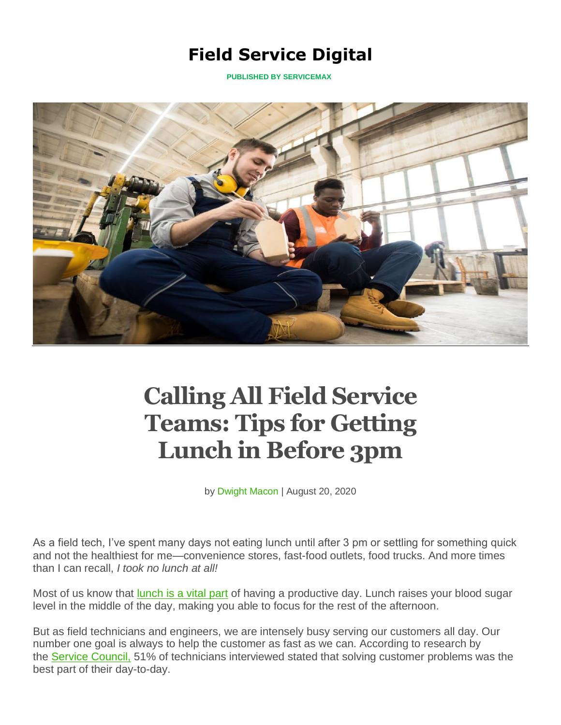## **Field Service Digital**

**PUBLISHED [BY SE](https://fsd.servicemax.com/)RVICEMAX**



# **Calling All Field Service Teams: Tips for Getting Lunch in Before 3pm**

by [Dwight](https://fsd.servicemax.com/author/dwightmacon/) Macon | August 20, 2020

As a field tech, I've spent many days not eating lunch until after 3 pm or settling for something quick and not the healthiest for me—convenience stores, fast-food outlets, food trucks. And more times than I can recall, *I took no lunch at all!*

Most of us know that **[lunch](https://www.siliconrepublic.com/advice/lunch-break-important-reasons-burnout) is a vital part** of having a productive day. Lunch raises your blood sugar level in the middle of the day, making you able to focus for the rest of the afternoon.

But as field technicians and engineers, we are intensely busy serving our customers all day. Our number one goal is always to help the customer as fast as we can. According to research by the Service [Council,](https://events.servicecouncil.com/slidecast-field-engineer-feedback-2018-reg) 51% of technicians interviewed stated that solving customer problems was the best part of their day-to-day.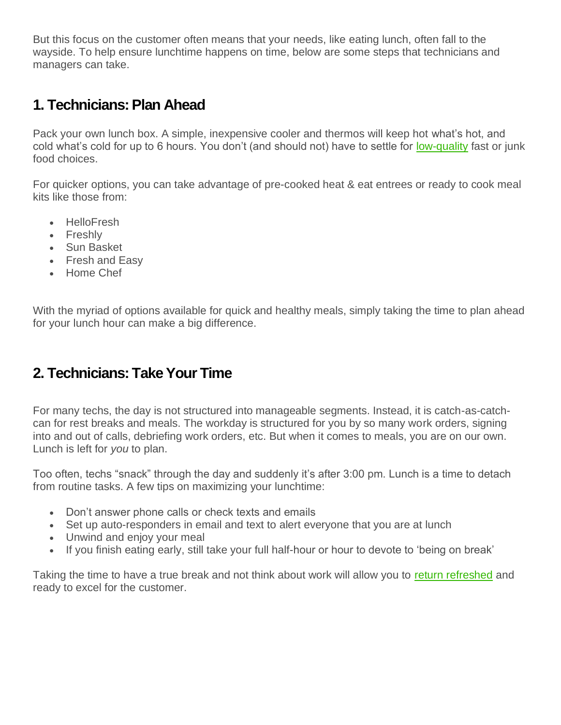But this focus on the customer often means that your needs, like eating lunch, often fall to the wayside. To help ensure lunchtime happens on time, below are some steps that technicians and managers can take.

#### **1. Technicians: Plan Ahead**

Pack your own lunch box. A simple, inexpensive cooler and thermos will keep hot what's hot, and cold what's cold for up to 6 hours. You don't (and should not) have to settle for [low-quality](https://hbr.org/2014/10/what-you-eat-affects-your-productivity) fast or junk food choices.

For quicker options, you can take advantage of pre-cooked heat & eat entrees or ready to cook meal kits like those from:

- HelloFresh
- Freshly
- Sun Basket
- Fresh and Easy
- Home Chef

With the myriad of options available for quick and healthy meals, simply taking the time to plan ahead for your lunch hour can make a big difference.

## **2. Technicians: Take Your Time**

For many techs, the day is not structured into manageable segments. Instead, it is catch-as-catchcan for rest breaks and meals. The workday is structured for you by so many work orders, signing into and out of calls, debriefing work orders, etc. But when it comes to meals, you are on our own. Lunch is left for *you* to plan.

Too often, techs "snack" through the day and suddenly it's after 3:00 pm. Lunch is a time to detach from routine tasks. A few tips on maximizing your lunchtime:

- Don't answer phone calls or check texts and emails
- Set up auto-responders in email and text to alert everyone that you are at lunch
- Unwind and enjoy your meal
- If you finish eating early, still take your full half-hour or hour to devote to 'being on break'

Taking the time to have a true break and not think about work will allow you to return [refreshed](https://www.psychologytoday.com/us/blog/changepower/201704/how-do-work-breaks-help-your-brain-5-surprising-answers) and ready to excel for the customer.